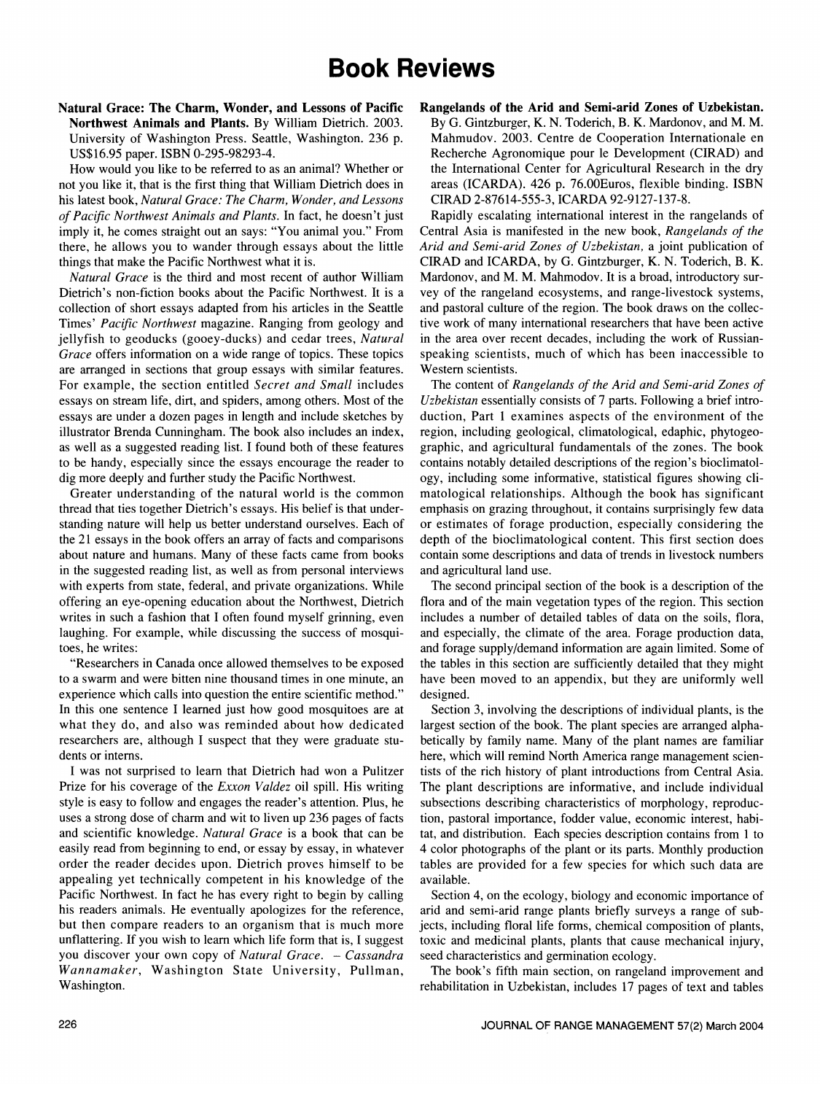## Book Reviews

## Natural Grace: The Charm, Wonder, and Lessons of Pacific Northwest Animals and Plants. By William Dietrich. 2003. University of Washington Press. Seattle, Washington. 236 p. US\$16.95 paper. ISBN 0-295-98293-4.

 How would you like to be referred to as an animal? Whether or not you like it, that is the first thing that William Dietrich does in his latest book, Natural Grace: The Charm, Wonder, and Lessons of Pacific Northwest Animals and Plants. In fact, he doesn't just imply it, he comes straight out an says: "You animal you." From there, he allows you to wander through essays about the little things that make the Pacific Northwest what it is.

 Natural Grace is the third and most recent of author William Dietrich's non-fiction books about the Pacific Northwest. It is a collection of short essays adapted from his articles in the Seattle Times' Pacific Northwest magazine. Ranging from geology and jellyfish to geoducks (gooey-ducks) and cedar trees, Natural Grace offers information on a wide range of topics. These topics are arranged in sections that group essays with similar features. For example, the section entitled Secret and Small includes essays on stream life, dirt, and spiders, among others. Most of the essays are under a dozen pages in length and include sketches by illustrator Brenda Cunningham. The book also includes an index, as well as a suggested reading list. I found both of these features to be handy, especially since the essays encourage the reader to dig more deeply and further study the Pacific Northwest.

 Greater understanding of the natural world is the common thread that ties together Dietrich's essays. His belief is that under standing nature will help us better understand ourselves. Each of the 21 essays in the book offers an array of facts and comparisons about nature and humans. Many of these facts came from books in the suggested reading list, as well as from personal interviews with experts from state, federal, and private organizations. While offering an eye-opening education about the Northwest, Dietrich writes in such a fashion that I often found myself grinning, even laughing. For example, while discussing the success of mosqui toes, he writes:

 "Researchers in Canada once allowed themselves to be exposed to a swarm and were bitten nine thousand times in one minute, an experience which calls into question the entire scientific method." In this one sentence I leamed just how good mosquitoes are at what they do, and also was reminded about how dedicated researchers are, although I suspect that they were graduate stu dents or intems.

 I was not surprised to learn that Dietrich had won a Pulitzer Prize for his coverage of the *Exxon Valdez* oil spill. His writing style is easy to follow and engages the reader's attention. Plus, he uses a strong dose of charm and wit to liven up 236 pages of facts and scientific knowledge. Natural Grace is a book that can be easily read from beginning to end, or essay by essay, in whatever order the reader decides upon. Dietrich proves himself to be appealing yet technically competent in his knowledge of the Pacific Northwest. In fact he has every right to begin by calling his readers animals. He eventually apologizes for the reference, but then compare readers to an organism that is much more unflattering. If you wish to learn which life form that is, I suggest you discover your own copy of Natural Grace.  $-Cassandra$  Wannamaker, Washington State University, Pullman, Washington.

 Rangelands of the Arid and Semi-arid Zones of Uzbekistan. By G. Gintzburger, K. N. Toderich, B. K. Mardonov, and M. M. Mahmudov. 2003. Centre de Cooperation Internationale en Recherche Agronomique pour le Development (CIRAD) and the International Center for Agricultural Research in the dry areas (ICARDA). 426 p. 76.O0Euros, flexible binding. ISBN CIRAD 2-87614-555-3, ICARDA 92-9127-137-8.

 Rapidly escalating international interest in the rangelands of Central Asia is manifested in the new book, Rangelands of the Arid and Semi-arid Zones of Uzbekistan, a joint publication of CIRAD and ICARDA, by G. Gintzburger, K. N. Toderich, B. K. Mardonov, and M. M. Mahmodov. It is a broad, introductory sur vey of the rangeland ecosystems, and range-livestock systems, and pastoral culture of the region. The book draws on the collec tive work of many international researchers that have been active in the area over recent decades, including the work of Russian speaking scientists, much of which has been inaccessible to Western scientists.

 The content of Rangelands of the Arid and Semi-arid Zones of Uzbekistan essentially consists of 7 parts. Following a brief intro duction, Part 1 examines aspects of the environment of the region, including geological, climatological, edaphic, phytogeo graphic, and agricultural fundamentals of the zones. The book contains notably detailed descriptions of the region's bioclimatol ogy, including some informative, statistical figures showing cli matological relationships. Although the book has significant emphasis on grazing throughout, it contains surprisingly few data or estimates of forage production, especially considering the depth of the bioclimatological content. This first section does contain some descriptions and data of trends in livestock numbers and agricultural land use.

 The second principal section of the book is a description of the flora and of the main vegetation types of the region. This section includes a number of detailed tables of data on the soils, flora, and especially, the climate of the area. Forage production data, and forage supply/demand information are again limited. Some of the tables in this section are sufficiently detailed that they might have been moved to an appendix, but they are uniformly well designed.

 Section 3, involving the descriptions of individual plants, is the largest section of the book. The plant species are arranged alpha betically by family name. Many of the plant names are familiar here, which will remind North America range management scien tists of the rich history of plant introductions from Central Asia. The plant descriptions are informative, and include individual subsections describing characteristics of morphology, reproduc tion, pastoral importance, fodder value, economic interest, habi tat, and distribution. Each species description contains from 1 to 4 color photographs of the plant or its parts. Monthly production tables are provided for a few species for which such data are available.

 Section 4, on the ecology, biology and economic importance of arid and semi-arid range plants briefly surveys a range of sub jects, including floral life forms, chemical composition of plants, toxic and medicinal plants, plants that cause mechanical injury, seed characteristics and germination ecology.

 The book's fifth main section, on rangeland improvement and rehabilitation in Uzbekistan, includes 17 pages of text and tables